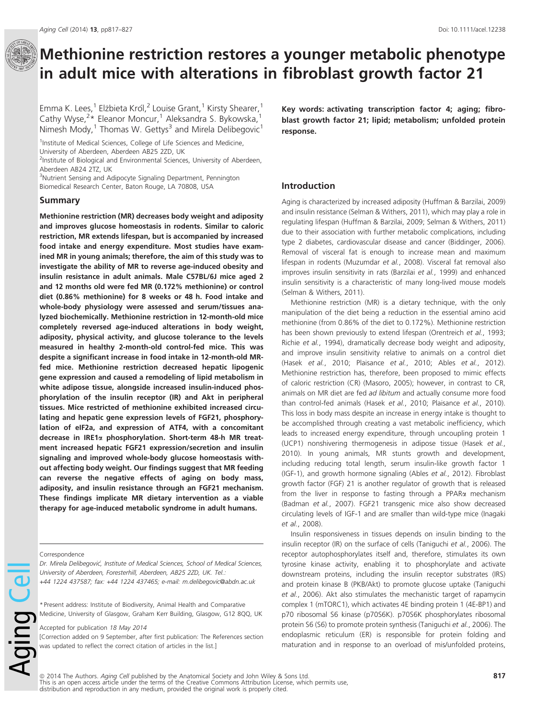# $\Box$  Methionine restriction restores a younger metabolic phenotype in adult mice with alterations in fibroblast growth factor 21

Emma K. Lees,<sup>1</sup> Elżbieta Król,<sup>2</sup> Louise Grant,<sup>1</sup> Kirsty Shearer,<sup>1</sup> Cathy Wyse,<sup>2</sup>\* Eleanor Moncur,<sup>1</sup> Aleksandra S. Bykowska,<sup>1</sup> Nimesh Mody,<sup>1</sup> Thomas W. Gettys<sup>3</sup> and Mirela Delibegovic<sup>1</sup>

<sup>1</sup>Institute of Medical Sciences, College of Life Sciences and Medicine,

University of Aberdeen, Aberdeen AB25 2ZD, UK

<sup>2</sup>Institute of Biological and Environmental Sciences, University of Aberdeen, Aberdeen AB24 2TZ, UK

<sup>3</sup>Nutrient Sensing and Adipocyte Signaling Department, Pennington Biomedical Research Center, Baton Rouge, LA 70808, USA

#### Summary

Methionine restriction (MR) decreases body weight and adiposity and improves glucose homeostasis in rodents. Similar to caloric restriction, MR extends lifespan, but is accompanied by increased food intake and energy expenditure. Most studies have examined MR in young animals; therefore, the aim of this study was to investigate the ability of MR to reverse age-induced obesity and insulin resistance in adult animals. Male C57BL/6J mice aged 2 and 12 months old were fed MR (0.172% methionine) or control diet (0.86% methionine) for 8 weeks or 48 h. Food intake and whole-body physiology were assessed and serum/tissues analyzed biochemically. Methionine restriction in 12-month-old mice completely reversed age-induced alterations in body weight, adiposity, physical activity, and glucose tolerance to the levels measured in healthy 2-month-old control-fed mice. This was despite a significant increase in food intake in 12-month-old MRfed mice. Methionine restriction decreased hepatic lipogenic gene expression and caused a remodeling of lipid metabolism in white adipose tissue, alongside increased insulin-induced phosphorylation of the insulin receptor (IR) and Akt in peripheral tissues. Mice restricted of methionine exhibited increased circulating and hepatic gene expression levels of FGF21, phosphorylation of eIF2a, and expression of ATF4, with a concomitant decrease in IRE1a phosphorylation. Short-term 48-h MR treatment increased hepatic FGF21 expression/secretion and insulin signaling and improved whole-body glucose homeostasis without affecting body weight. Our findings suggest that MR feeding can reverse the negative effects of aging on body mass, adiposity, and insulin resistance through an FGF21 mechanism. These findings implicate MR dietary intervention as a viable therapy for age-induced metabolic syndrome in adult humans.

Aging Ce

Dr. Mirela Delibegovic, Institute of Medical Sciences, School of Medical Sciences, University of Aberdeen, Foresterhill, Aberdeen, AB25 2ZD, UK. Tel.: +44 1224 437587; fax: +44 1224 437465; e-mail: m.delibegovic@abdn.ac.uk

\* Present address: Institute of Biodiversity, Animal Health and Comparative Medicine, University of Glasgow, Graham Kerr Building, Glasgow, G12 8QQ, UK

Accepted for publication 18 May 2014

[Correction added on 9 September, after first publication: The References section was updated to reflect the correct citation of articles in the list.]

Key words: activating transcription factor 4; aging; fibroblast growth factor 21; lipid; metabolism; unfolded protein response.

# Introduction

Aging is characterized by increased adiposity (Huffman & Barzilai, 2009) and insulin resistance (Selman & Withers, 2011), which may play a role in regulating lifespan (Huffman & Barzilai, 2009; Selman & Withers, 2011) due to their association with further metabolic complications, including type 2 diabetes, cardiovascular disease and cancer (Biddinger, 2006). Removal of visceral fat is enough to increase mean and maximum lifespan in rodents (Muzumdar et al., 2008). Visceral fat removal also improves insulin sensitivity in rats (Barzilai et al., 1999) and enhanced insulin sensitivity is a characteristic of many long-lived mouse models (Selman & Withers, 2011).

Methionine restriction (MR) is a dietary technique, with the only manipulation of the diet being a reduction in the essential amino acid methionine (from 0.86% of the diet to 0.172%). Methionine restriction has been shown previously to extend lifespan (Orentreich et al., 1993; Richie et al., 1994), dramatically decrease body weight and adiposity, and improve insulin sensitivity relative to animals on a control diet (Hasek et al., 2010; Plaisance et al., 2010; Ables et al., 2012). Methionine restriction has, therefore, been proposed to mimic effects of caloric restriction (CR) (Masoro, 2005); however, in contrast to CR, animals on MR diet are fed ad libitum and actually consume more food than control-fed animals (Hasek et al., 2010; Plaisance et al., 2010). This loss in body mass despite an increase in energy intake is thought to be accomplished through creating a vast metabolic inefficiency, which leads to increased energy expenditure, through uncoupling protein 1 (UCP1) nonshivering thermogenesis in adipose tissue (Hasek et al., 2010). In young animals, MR stunts growth and development, including reducing total length, serum insulin-like growth factor 1 (IGF-1), and growth hormone signaling (Ables et al., 2012). Fibroblast growth factor (FGF) 21 is another regulator of growth that is released from the liver in response to fasting through a PPAR $\alpha$  mechanism (Badman et al., 2007). FGF21 transgenic mice also show decreased circulating levels of IGF-1 and are smaller than wild-type mice (Inagaki et al., 2008).

Insulin responsiveness in tissues depends on insulin binding to the insulin receptor (IR) on the surface of cells (Taniguchi et al., 2006). The receptor autophosphorylates itself and, therefore, stimulates its own tyrosine kinase activity, enabling it to phosphorylate and activate downstream proteins, including the insulin receptor substrates (IRS) and protein kinase B (PKB/Akt) to promote glucose uptake (Taniguchi et al., 2006). Akt also stimulates the mechanistic target of rapamycin complex 1 (mTORC1), which activates 4E binding protein 1 (4E-BP1) and p70 ribosomal S6 kinase (p70S6K). p70S6K phosphorylates ribosomal protein S6 (S6) to promote protein synthesis (Taniguchi et al., 2006). The endoplasmic reticulum (ER) is responsible for protein folding and maturation and in response to an overload of mis/unfolded proteins,

ª 2014 The Authors. Aging Cell published by the Anatomical Society and John Wiley & Sons Ltd. This is an open access article under the terms of the Creative Commons Attribution License, which permits use, distribution and reproduction in any medium, provided the original work is properly cited.

Correspondence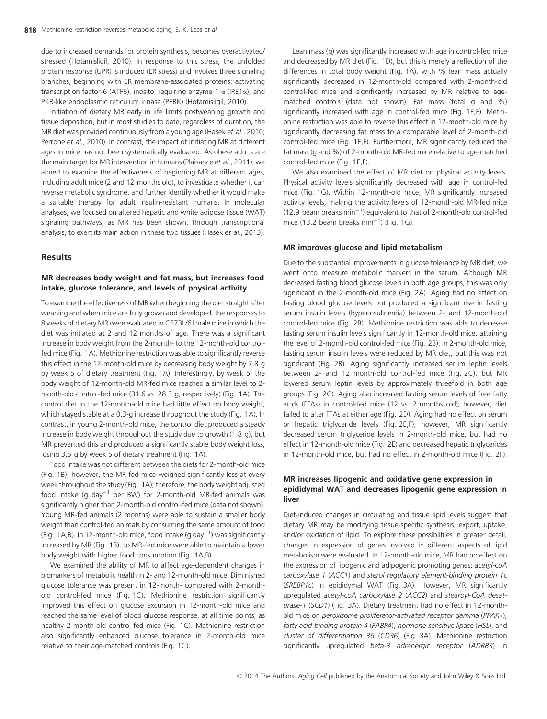due to increased demands for protein synthesis, becomes overactivated/ stressed (Hotamisligil, 2010). In response to this stress, the unfolded protein response (UPR) is induced (ER stress) and involves three signaling branches, beginning with ER membrane-associated proteins; activating transcription factor-6 (ATF6), inositol requiring enzyme 1  $\alpha$  (IRE1 $\alpha$ ), and PKR-like endoplasmic reticulum kinase (PERK) (Hotamisligil, 2010).

Initiation of dietary MR early in life limits postweaning growth and tissue deposition, but in most studies to date, regardless of duration, the MR diet was provided continuously from a young age (Hasek et al., 2010; Perrone et al., 2010). In contrast, the impact of initiating MR at different ages in mice has not been systematically evaluated. As obese adults are the main target for MR intervention in humans (Plaisance et al., 2011), we aimed to examine the effectiveness of beginning MR at different ages, including adult mice (2 and 12 months old), to investigate whether it can reverse metabolic syndrome, and further identify whether it would make a suitable therapy for adult insulin-resistant humans. In molecular analyses, we focused on altered hepatic and white adipose tissue (WAT) signaling pathways, as MR has been shown, through transcriptional analysis, to exert its main action in these two tissues (Hasek et al., 2013).

# Results

# MR decreases body weight and fat mass, but increases food intake, glucose tolerance, and levels of physical activity

To examine the effectiveness of MR when beginning the diet straight after weaning and when mice are fully grown and developed, the responses to 8 weeks of dietary MR were evaluated in C57BL/6J male mice in which the diet was initiated at 2 and 12 months of age. There was a significant increase in body weight from the 2-month- to the 12-month-old controlfed mice (Fig. 1A). Methionine restriction was able to significantly reverse this effect in the 12-month-old mice by decreasing body weight by 7.8 g by week 5 of dietary treatment (Fig. 1A). Interestingly, by week 5, the body weight of 12-month-old MR-fed mice reached a similar level to 2 month-old control-fed mice (31.6 vs. 28.3 g, respectively) (Fig. 1A). The control diet in the 12-month-old mice had little effect on body weight, which stayed stable at a 0.3-g increase throughout the study (Fig. 1A). In contrast, in young 2-month-old mice, the control diet produced a steady increase in body weight throughout the study due to growth (1.8 g), but MR prevented this and produced a significantly stable body weight loss, losing 3.5 g by week 5 of dietary treatment (Fig. 1A).

Food intake was not different between the diets for 2-month-old mice (Fig. 1B); however, the MR-fed mice weighed significantly less at every week throughout the study (Fig. 1A); therefore, the body weight adjusted food intake (g day<sup>-1</sup> per BW) for 2-month-old MR-fed animals was significantly higher than 2-month-old control-fed mice (data not shown). Young MR-fed animals (2 months) were able to sustain a smaller body weight than control-fed animals by consuming the same amount of food (Fig. 1A,B). In 12-month-old mice, food intake (g day $^{-1}$ ) was significantly increased by MR (Fig. 1B), so MR-fed mice were able to maintain a lower body weight with higher food consumption (Fig. 1A,B).

We examined the ability of MR to affect age-dependent changes in biomarkers of metabolic health in 2- and 12-month-old mice. Diminished glucose tolerance was present in 12-month- compared with 2-monthold control-fed mice (Fig. 1C). Methionine restriction significantly improved this effect on glucose excursion in 12-month-old mice and reached the same level of blood glucose response, at all time points, as healthy 2-month-old control-fed mice (Fig. 1C). Methionine restriction also significantly enhanced glucose tolerance in 2-month-old mice relative to their age-matched controls (Fig. 1C).

Lean mass (g) was significantly increased with age in control-fed mice and decreased by MR diet (Fig. 1D), but this is merely a reflection of the differences in total body weight (Fig. 1A), with % lean mass actually significantly decreased in 12-month-old compared with 2-month-old control-fed mice and significantly increased by MR relative to agematched controls (data not shown). Fat mass (total g and %) significantly increased with age in control-fed mice (Fig. 1E,F). Methionine restriction was able to reverse this effect in 12-month-old mice by significantly decreasing fat mass to a comparable level of 2-month-old control-fed mice (Fig. 1E,F). Furthermore, MR significantly reduced the fat mass (g and %) of 2-month-old MR-fed mice relative to age-matched control-fed mice (Fig. 1E,F).

We also examined the effect of MR diet on physical activity levels. Physical activity levels significantly decreased with age in control-fed mice (Fig. 1G). Within 12-month-old mice, MR significantly increased activity levels, making the activity levels of 12-month-old MR-fed mice  $(12.9$  beam breaks min<sup>-1</sup>) equivalent to that of 2-month-old control-fed mice (13.2 beam breaks min<sup>-1</sup>) (Fig. 1G).

## MR improves glucose and lipid metabolism

Due to the substantial improvements in glucose tolerance by MR diet, we went onto measure metabolic markers in the serum. Although MR decreased fasting blood glucose levels in both age groups, this was only significant in the 2-month-old mice (Fig. 2A). Aging had no effect on fasting blood glucose levels but produced a significant rise in fasting serum insulin levels (hyperinsulinemia) between 2- and 12-month-old control-fed mice (Fig. 2B). Methionine restriction was able to decrease fasting serum insulin levels significantly in 12-month-old mice, attaining the level of 2-month-old control-fed mice (Fig. 2B). In 2-month-old mice, fasting serum insulin levels were reduced by MR diet, but this was not significant (Fig. 2B). Aging significantly increased serum leptin levels between 2- and 12–month-old control-fed mice (Fig. 2C), but MR lowered serum leptin levels by approximately threefold in both age groups (Fig. 2C). Aging also increased fasting serum levels of free fatty acids (FFAs) in control-fed mice (12 vs. 2 months old); however, diet failed to alter FFAs at either age (Fig. 2D). Aging had no effect on serum or hepatic triglyceride levels (Fig. 2E,F); however, MR significantly decreased serum triglyceride levels in 2-month-old mice, but had no effect in 12-month-old mice (Fig. 2E) and decreased hepatic triglycerides in 12-month-old mice, but had no effect in 2-month-old mice (Fig. 2F).

# MR increases lipogenic and oxidative gene expression in epididymal WAT and decreases lipogenic gene expression in liver

Diet-induced changes in circulating and tissue lipid levels suggest that dietary MR may be modifying tissue-specific synthesis, export, uptake, and/or oxidation of lipid. To explore these possibilities in greater detail, changes in expression of genes involved in different aspects of lipid metabolism were evaluated. In 12-month-old mice, MR had no effect on the expression of lipogenic and adipogenic promoting genes; acetyl-coA carboxylase 1 (ACC1) and sterol regulatory element-binding protein 1c (SREBP1c) in epididymal WAT (Fig. 3A). However, MR significantly upregulated acetyl-coA carboxylase 2 (ACC2) and stearoyl-CoA desaturase-1 (SCD1) (Fig. 3A). Dietary treatment had no effect in 12-monthold mice on peroxisome proliferator-activated receptor gamma (PPAR $\gamma$ ), fatty acid-binding protein 4 (FABP4), hormone-sensitive lipase (HSL), and cluster of differentiation 36 (CD36) (Fig. 3A). Methionine restriction significantly upregulated beta-3 adrenergic receptor (ADRB3) in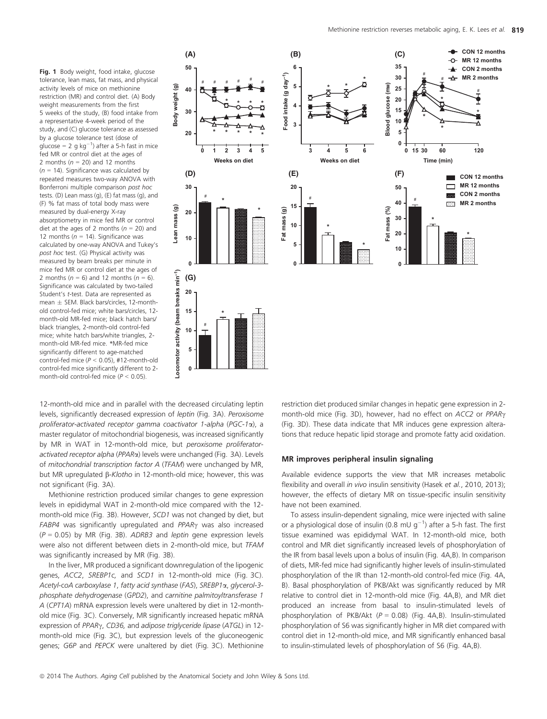Fig. 1 Body weight, food intake, glucose tolerance, lean mass, fat mass, and physical activity levels of mice on methionine restriction (MR) and control diet. (A) Body weight measurements from the first 5 weeks of the study, (B) food intake from a representative 4-week period of the study, and (C) glucose tolerance as assessed by a glucose tolerance test (dose of glucose = 2 g  $kg^{-1}$ ) after a 5-h fast in mice fed MR or control diet at the ages of 2 months ( $n = 20$ ) and 12 months  $(n = 14)$ . Significance was calculated by repeated measures two-way ANOVA with Bonferroni multiple comparison post hoc tests. (D) Lean mass (g), (E) fat mass (g), and (F) % fat mass of total body mass were measured by dual-energy X-ray absorptiometry in mice fed MR or control diet at the ages of 2 months ( $n = 20$ ) and 12 months ( $n = 14$ ). Significance was calculated by one-way ANOVA and Tukey's post hoc test. (G) Physical activity was measured by beam breaks per minute in mice fed MR or control diet at the ages of 2 months ( $n = 6$ ) and 12 months ( $n = 6$ ). Significance was calculated by two-tailed Student's t-test. Data are represented as mean  $\pm$  SEM. Black bars/circles, 12-monthold control-fed mice; white bars/circles, 12 month-old MR-fed mice; black hatch bars/ black triangles, 2-month-old control-fed mice; white hatch bars/white triangles, 2 month-old MR-fed mice. \*MR-fed mice significantly different to age-matched control-fed mice ( $P < 0.05$ ), #12-month-old control-fed mice significantly different to 2 month-old control-fed mice ( $P < 0.05$ ).



12-month-old mice and in parallel with the decreased circulating leptin levels, significantly decreased expression of leptin (Fig. 3A). Peroxisome proliferator-activated receptor gamma coactivator 1-alpha (PGC-1a), a master regulator of mitochondrial biogenesis, was increased significantly by MR in WAT in 12-month-old mice, but peroxisome proliferatoractivated receptor alpha (PPAR<sub>x</sub>) levels were unchanged (Fig. 3A). Levels of mitochondrial transcription factor A (TFAM) were unchanged by MR, but MR upregulated  $\beta$ -Klotho in 12-month-old mice; however, this was not significant (Fig. 3A).

Methionine restriction produced similar changes to gene expression levels in epididymal WAT in 2-month-old mice compared with the 12 month-old mice (Fig. 3B). However, SCD1 was not changed by diet, but  $FABP4$  was significantly upregulated and  $PPAR<sub>Y</sub>$  was also increased  $(P = 0.05)$  by MR (Fig. 3B). ADRB3 and leptin gene expression levels were also not different between diets in 2-month-old mice, but TFAM was significantly increased by MR (Fig. 3B).

In the liver, MR produced a significant downregulation of the lipogenic genes, ACC2, SREBP1c, and SCD1 in 12-month-old mice (Fig. 3C). Acetyl-coA carboxylase 1, fatty acid synthase (FAS), SREBP1a, glycerol-3 phosphate dehydrogenase (GPD2), and carnitine palmitoyltransferase 1 A (CPT1A) mRNA expression levels were unaltered by diet in 12-monthold mice (Fig. 3C). Conversely, MR significantly increased hepatic mRNA expression of PPAR<sub>Y</sub>, CD36, and adipose triglyceride lipase (ATGL) in 12month-old mice (Fig. 3C), but expression levels of the gluconeogenic genes; G6P and PEPCK were unaltered by diet (Fig. 3C). Methionine restriction diet produced similar changes in hepatic gene expression in 2 month-old mice (Fig. 3D), however, had no effect on ACC2 or PPAR<sub>Y</sub> (Fig. 3D). These data indicate that MR induces gene expression alterations that reduce hepatic lipid storage and promote fatty acid oxidation.

#### MR improves peripheral insulin signaling

Available evidence supports the view that MR increases metabolic flexibility and overall in vivo insulin sensitivity (Hasek et al., 2010, 2013); however, the effects of dietary MR on tissue-specific insulin sensitivity have not been examined.

To assess insulin-dependent signaling, mice were injected with saline or a physiological dose of insulin (0.8 mU  $g^{-1}$ ) after a 5-h fast. The first tissue examined was epididymal WAT. In 12-month-old mice, both control and MR diet significantly increased levels of phosphorylation of the IR from basal levels upon a bolus of insulin (Fig. 4A,B). In comparison of diets, MR-fed mice had significantly higher levels of insulin-stimulated phosphorylation of the IR than 12-month-old control-fed mice (Fig. 4A, B). Basal phosphorylation of PKB/Akt was significantly reduced by MR relative to control diet in 12-month-old mice (Fig. 4A,B), and MR diet produced an increase from basal to insulin-stimulated levels of phosphorylation of PKB/Akt  $(P = 0.08)$  (Fig. 4A,B). Insulin-stimulated phosphorylation of S6 was significantly higher in MR diet compared with control diet in 12-month-old mice, and MR significantly enhanced basal to insulin-stimulated levels of phosphorylation of S6 (Fig. 4A,B).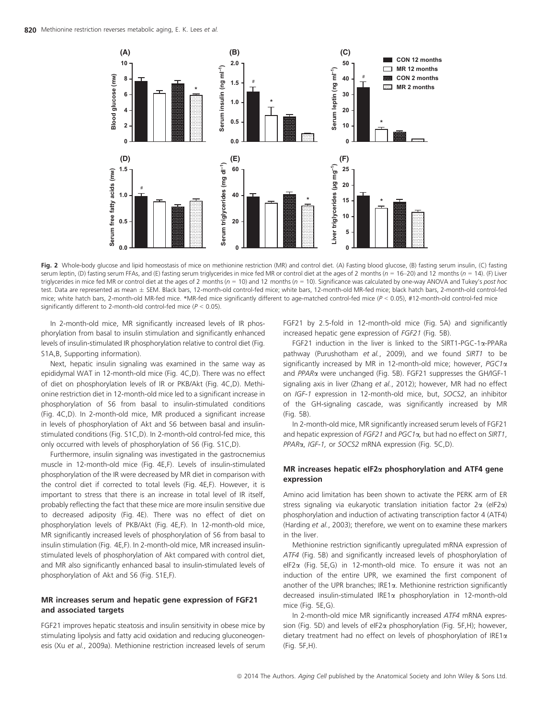

Fig. 2 Whole-body glucose and lipid homeostasis of mice on methionine restriction (MR) and control diet. (A) Fasting blood glucose, (B) fasting serum insulin, (C) fasting serum leptin, (D) fasting serum FFAs, and (E) fasting serum triglycerides in mice fed MR or control diet at the ages of 2 months ( $n = 16-20$ ) and 12 months ( $n = 14$ ). (F) Liver triglycerides in mice fed MR or control diet at the ages of 2 months ( $n = 10$ ) and 12 months ( $n = 10$ ). Significance was calculated by one-way ANOVA and Tukey's post hoc test. Data are represented as mean SEM. Black bars, 12-month-old control-fed mice; white bars, 12-month-old MR-fed mice; black hatch bars, 2-month-old control-fed mice; white hatch bars, 2-month-old MR-fed mice. \*MR-fed mice significantly different to age-matched control-fed mice ( $P < 0.05$ ), #12-month-old control-fed mice significantly different to 2-month-old control-fed mice ( $P < 0.05$ ).

In 2-month-old mice, MR significantly increased levels of IR phosphorylation from basal to insulin stimulation and significantly enhanced levels of insulin-stimulated IR phosphorylation relative to control diet (Fig. S1A,B, Supporting information).

Next, hepatic insulin signaling was examined in the same way as epididymal WAT in 12-month-old mice (Fig. 4C,D). There was no effect of diet on phosphorylation levels of IR or PKB/Akt (Fig. 4C,D). Methionine restriction diet in 12-month-old mice led to a significant increase in phosphorylation of S6 from basal to insulin-stimulated conditions (Fig. 4C,D). In 2-month-old mice, MR produced a significant increase in levels of phosphorylation of Akt and S6 between basal and insulinstimulated conditions (Fig. S1C,D). In 2-month-old control-fed mice, this only occurred with levels of phosphorylation of S6 (Fig. S1C,D).

Furthermore, insulin signaling was investigated in the gastrocnemius muscle in 12-month-old mice (Fig. 4E,F). Levels of insulin-stimulated phosphorylation of the IR were decreased by MR diet in comparison with the control diet if corrected to total levels (Fig. 4E,F). However, it is important to stress that there is an increase in total level of IR itself, probably reflecting the fact that these mice are more insulin sensitive due to decreased adiposity (Fig. 4E). There was no effect of diet on phosphorylation levels of PKB/Akt (Fig. 4E,F). In 12-month-old mice, MR significantly increased levels of phosphorylation of S6 from basal to insulin stimulation (Fig. 4E,F). In 2-month-old mice, MR increased insulinstimulated levels of phosphorylation of Akt compared with control diet, and MR also significantly enhanced basal to insulin-stimulated levels of phosphorylation of Akt and S6 (Fig. S1E,F).

# MR increases serum and hepatic gene expression of FGF21 and associated targets

FGF21 improves hepatic steatosis and insulin sensitivity in obese mice by stimulating lipolysis and fatty acid oxidation and reducing gluconeogenesis (Xu et al., 2009a). Methionine restriction increased levels of serum FGF21 by 2.5-fold in 12-month-old mice (Fig. 5A) and significantly increased hepatic gene expression of FGF21 (Fig. 5B).

FGF21 induction in the liver is linked to the SIRT1-PGC-1a-PPARa pathway (Purushotham et al., 2009), and we found SIRT1 to be significantly increased by MR in 12-month-old mice; however, PGC1a and PPAR<sub>x</sub> were unchanged (Fig. 5B). FGF21 suppresses the GH/IGF-1 signaling axis in liver (Zhang et al., 2012); however, MR had no effect on IGF-1 expression in 12-month-old mice, but, SOCS2, an inhibitor of the GH-signaling cascade, was significantly increased by MR (Fig. 5B).

In 2-month-old mice, MR significantly increased serum levels of FGF21 and hepatic expression of  $FGF21$  and  $PGC1\alpha$ , but had no effect on SIRT1, PPARa, IGF-1, or SOCS2 mRNA expression (Fig. 5C,D).

## MR increases hepatic eIF2a phosphorylation and ATF4 gene expression

Amino acid limitation has been shown to activate the PERK arm of ER stress signaling via eukaryotic translation initiation factor  $2\alpha$  (eIF2 $\alpha$ ) phosphorylation and induction of activating transcription factor 4 (ATF4) (Harding et al., 2003); therefore, we went on to examine these markers in the liver.

Methionine restriction significantly upregulated mRNA expression of ATF4 (Fig. 5B) and significantly increased levels of phosphorylation of eIF2a (Fig. 5E,G) in 12-month-old mice. To ensure it was not an induction of the entire UPR, we examined the first component of another of the UPR branches; IRE1a. Methionine restriction significantly decreased insulin-stimulated IRE1a phosphorylation in 12-month-old mice (Fig. 5E,G).

In 2-month-old mice MR significantly increased ATF4 mRNA expression (Fig. 5D) and levels of eIF2a phosphorylation (Fig. 5F,H); however, dietary treatment had no effect on levels of phosphorylation of IRE1a (Fig. 5F,H).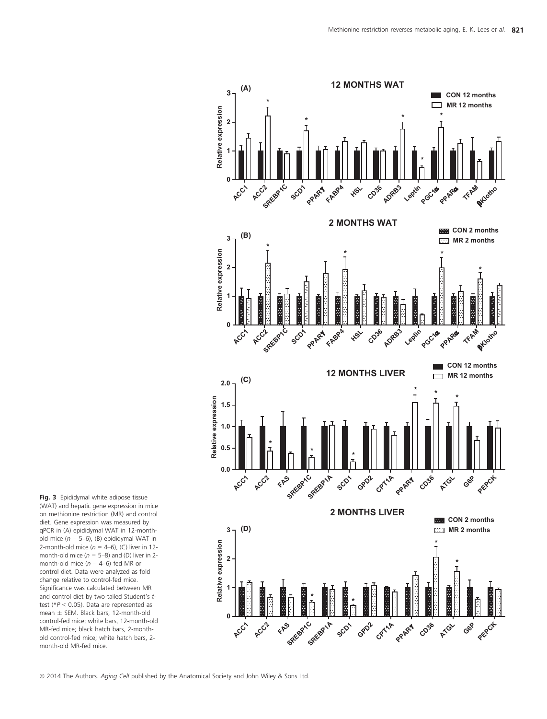

Fig. 3 Epididymal white adipose tissue (WAT) and hepatic gene expression in mice on methionine restriction (MR) and control diet. Gene expression was measured by qPCR in (A) epididymal WAT in 12-monthold mice  $(n = 5-6)$ , (B) epididymal WAT in 2-month-old mice ( $n = 4-6$ ), (C) liver in 12month-old mice ( $n = 5-8$ ) and (D) liver in 2month-old mice ( $n = 4-6$ ) fed MR or control diet. Data were analyzed as fold change relative to control-fed mice. Significance was calculated between MR and control diet by two-tailed Student's ttest ( $P < 0.05$ ). Data are represented as mean  $\pm$  SEM. Black bars, 12-month-old control-fed mice; white bars, 12-month-old MR-fed mice; black hatch bars, 2-monthold control-fed mice; white hatch bars, 2 month-old MR-fed mice.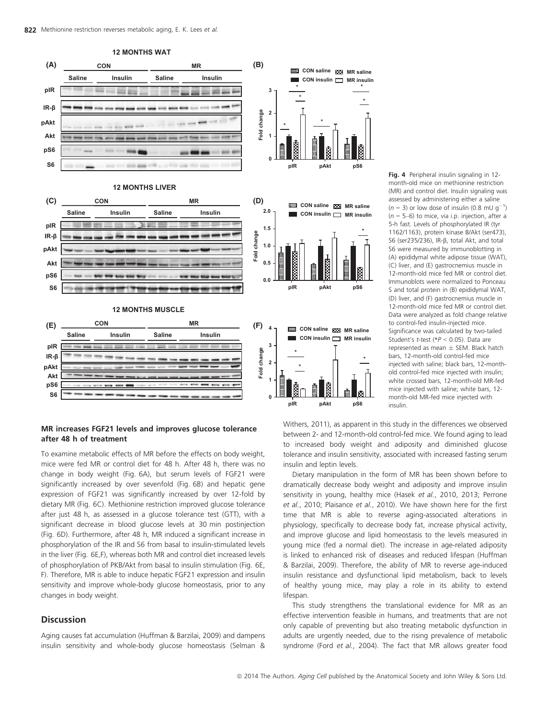

(C) liver, and (E) gastrocnemius muscle in 12-month-old mice fed MR or control diet. Immunoblots were normalized to Ponceau S and total protein in (B) epididymal WAT, (D) liver, and (F) gastrocnemius muscle in 12-month-old mice fed MR or control diet. Data were analyzed as fold change relative to control-fed insulin-injected mice. Significance was calculated by two-tailed Student's t-test (\*P < 0.05). Data are represented as mean  $\pm$  SEM. Black hatch bars, 12-month-old control-fed mice injected with saline; black bars, 12-monthold control-fed mice injected with insulin; white crossed bars, 12-month-old MR-fed mice injected with saline; white bars, 12 month-old MR-fed mice injected with

# MR increases FGF21 levels and improves glucose tolerance after 48 h of treatment

To examine metabolic effects of MR before the effects on body weight, mice were fed MR or control diet for 48 h. After 48 h, there was no change in body weight (Fig. 6A), but serum levels of FGF21 were significantly increased by over sevenfold (Fig. 6B) and hepatic gene expression of FGF21 was significantly increased by over 12-fold by dietary MR (Fig. 6C). Methionine restriction improved glucose tolerance after just 48 h, as assessed in a glucose tolerance test (GTT), with a significant decrease in blood glucose levels at 30 min postinjection (Fig. 6D). Furthermore, after 48 h, MR induced a significant increase in phosphorylation of the IR and S6 from basal to insulin-stimulated levels in the liver (Fig. 6E,F), whereas both MR and control diet increased levels of phosphorylation of PKB/Akt from basal to insulin stimulation (Fig. 6E, F). Therefore, MR is able to induce hepatic FGF21 expression and insulin sensitivity and improve whole-body glucose homeostasis, prior to any changes in body weight.

# Discussion

Aging causes fat accumulation (Huffman & Barzilai, 2009) and dampens insulin sensitivity and whole-body glucose homeostasis (Selman &

Withers, 2011), as apparent in this study in the differences we observed between 2- and 12-month-old control-fed mice. We found aging to lead to increased body weight and adiposity and diminished glucose tolerance and insulin sensitivity, associated with increased fasting serum insulin and leptin levels.

Dietary manipulation in the form of MR has been shown before to dramatically decrease body weight and adiposity and improve insulin sensitivity in young, healthy mice (Hasek et al., 2010, 2013; Perrone et al., 2010; Plaisance et al., 2010). We have shown here for the first time that MR is able to reverse aging-associated alterations in physiology, specifically to decrease body fat, increase physical activity, and improve glucose and lipid homeostasis to the levels measured in young mice (fed a normal diet). The increase in age-related adiposity is linked to enhanced risk of diseases and reduced lifespan (Huffman & Barzilai, 2009). Therefore, the ability of MR to reverse age-induced insulin resistance and dysfunctional lipid metabolism, back to levels of healthy young mice, may play a role in its ability to extend lifespan.

This study strengthens the translational evidence for MR as an effective intervention feasible in humans, and treatments that are not only capable of preventing but also treating metabolic dysfunction in adults are urgently needed, due to the rising prevalence of metabolic syndrome (Ford et al., 2004). The fact that MR allows greater food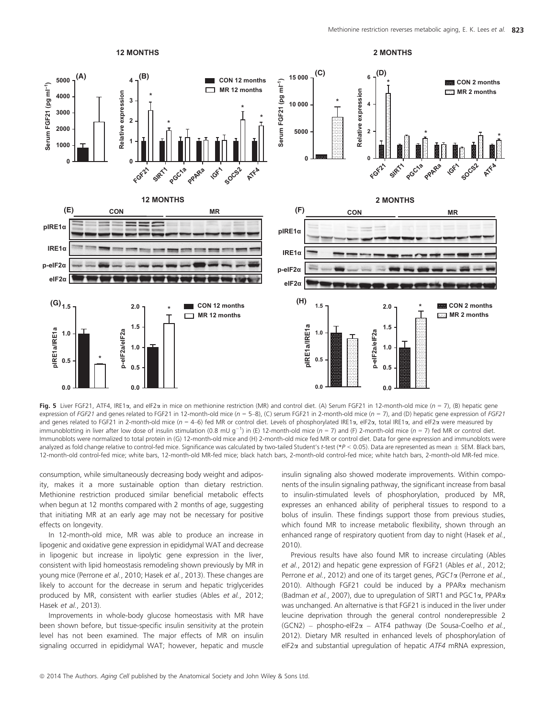

Fig. 5 Liver FGF21, ATF4, IRE1 $\alpha$ , and eIF2 $\alpha$  in mice on methionine restriction (MR) and control diet. (A) Serum FGF21 in 12-month-old mice (n = 7), (B) hepatic gene expression of FGF21 and genes related to FGF21 in 12-month-old mice ( $n = 5-8$ ), (C) serum FGF21 in 2-month-old mice ( $n = 7$ ), and (D) hepatic gene expression of FGF21 and genes related to FGF21 in 2-month-old mice ( $n = 4$ -6) fed MR or control diet. Levels of phosphorylated IRE1 $\alpha$ , eIF2 $\alpha$ , total IRE1 $\alpha$ , and eIF2 $\alpha$  were measured by immunoblotting in liver after low dose of insulin stimulation (0.8 mU g<sup>-1</sup>) in (E) 12-month-old mice (n = 7) and (F) 2-month-old mice (n = 7) fed MR or control diet. Immunoblots were normalized to total protein in (G) 12-month-old mice and (H) 2-month-old mice fed MR or control diet. Data for gene expression and immunoblots were analyzed as fold change relative to control-fed mice. Significance was calculated by two-tailed Student's t-test (\*P < 0.05). Data are represented as mean  $\pm$  SEM. Black bars, 12-month-old control-fed mice; white bars, 12-month-old MR-fed mice; black hatch bars, 2-month-old control-fed mice; white hatch bars, 2-month-old MR-fed mice.

consumption, while simultaneously decreasing body weight and adiposity, makes it a more sustainable option than dietary restriction. Methionine restriction produced similar beneficial metabolic effects when begun at 12 months compared with 2 months of age, suggesting that initiating MR at an early age may not be necessary for positive effects on longevity.

In 12-month-old mice, MR was able to produce an increase in lipogenic and oxidative gene expression in epididymal WAT and decrease in lipogenic but increase in lipolytic gene expression in the liver, consistent with lipid homeostasis remodeling shown previously by MR in young mice (Perrone et al., 2010; Hasek et al., 2013). These changes are likely to account for the decrease in serum and hepatic triglycerides produced by MR, consistent with earlier studies (Ables et al., 2012; Hasek et al., 2013).

Improvements in whole-body glucose homeostasis with MR have been shown before, but tissue-specific insulin sensitivity at the protein level has not been examined. The major effects of MR on insulin signaling occurred in epididymal WAT; however, hepatic and muscle insulin signaling also showed moderate improvements. Within components of the insulin signaling pathway, the significant increase from basal to insulin-stimulated levels of phosphorylation, produced by MR, expresses an enhanced ability of peripheral tissues to respond to a bolus of insulin. These findings support those from previous studies, which found MR to increase metabolic flexibility, shown through an enhanced range of respiratory quotient from day to night (Hasek et al., 2010).

Previous results have also found MR to increase circulating (Ables et al., 2012) and hepatic gene expression of FGF21 (Ables et al., 2012; Perrone et al., 2012) and one of its target genes,  $PGC1\alpha$  (Perrone et al., 2010). Although FGF21 could be induced by a PPAR $\alpha$  mechanism (Badman et al., 2007), due to upregulation of SIRT1 and PGC1a, PPARa was unchanged. An alternative is that FGF21 is induced in the liver under leucine deprivation through the general control nonderepressible 2  $(GCN2)$  – phospho-eIF2 $\alpha$  – ATF4 pathway (De Sousa-Coelho et al., 2012). Dietary MR resulted in enhanced levels of phosphorylation of eIF2 $\alpha$  and substantial upregulation of hepatic ATF4 mRNA expression,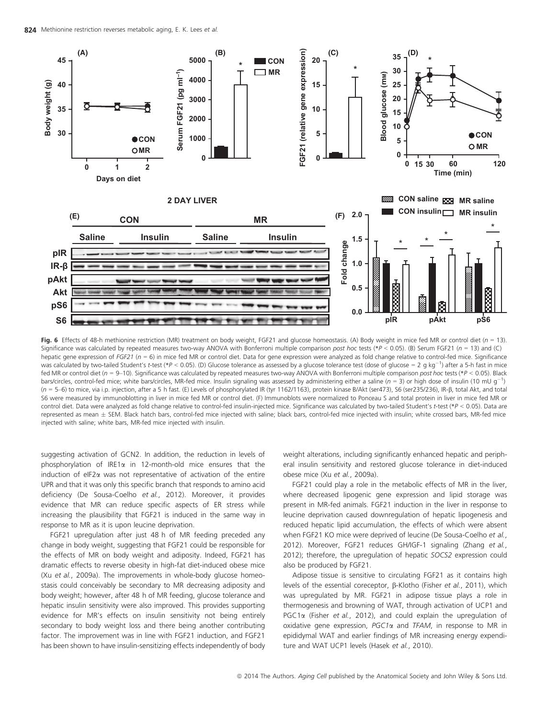

Fig. 6 Effects of 48-h methionine restriction (MR) treatment on body weight, FGF21 and glucose homeostasis. (A) Body weight in mice fed MR or control diet ( $n = 13$ ). Significance was calculated by repeated measures two-way ANOVA with Bonferroni multiple comparison post hoc tests (\*P < 0.05). (B) Serum FGF21 (n = 13) and (C) hepatic gene expression of FGF21 ( $n = 6$ ) in mice fed MR or control diet. Data for gene expression were analyzed as fold change relative to control-fed mice. Significance was calculated by two-tailed Student's *t*-test (\*P < 0.05). (D) Glucose tolerance as assessed by a glucose tolerance test (dose of glucose = 2 g kg<sup>-1</sup>) after a 5-h fast in mice fed MR or control diet (n = 9-10). Significance was calculated by repeated measures two-way ANOVA with Bonferroni multiple comparison post hoc tests (\*P < 0.05). Black bars/circles, control-fed mice; white bars/circles, MR-fed mice. Insulin signaling was assessed by administering either a saline ( $n = 3$ ) or high dose of insulin (10 mU g<sup>-1</sup>)  $(n = 5-6)$  to mice, via i.p. injection, after a 5 h fast. (E) Levels of phosphorylated IR (tyr 1162/1163), protein kinase B/Akt (ser473), S6 (ser235/236), IR-B, total Akt, and total S6 were measured by immunoblotting in liver in mice fed MR or control diet. (F) Immunoblots were normalized to Ponceau S and total protein in liver in mice fed MR or control diet. Data were analyzed as fold change relative to control-fed insulin-injected mice. Significance was calculated by two-tailed Student's t-test (\*P < 0.05). Data are represented as mean ± SEM. Black hatch bars, control-fed mice injected with saline; black bars, control-fed mice injected with insulin; white crossed bars, MR-fed mice injected with saline; white bars, MR-fed mice injected with insulin.

suggesting activation of GCN2. In addition, the reduction in levels of phosphorylation of IRE1 $\alpha$  in 12-month-old mice ensures that the induction of eIF2 $\alpha$  was not representative of activation of the entire UPR and that it was only this specific branch that responds to amino acid deficiency (De Sousa-Coelho et al., 2012). Moreover, it provides evidence that MR can reduce specific aspects of ER stress while increasing the plausibility that FGF21 is induced in the same way in response to MR as it is upon leucine deprivation.

FGF21 upregulation after just 48 h of MR feeding preceded any change in body weight, suggesting that FGF21 could be responsible for the effects of MR on body weight and adiposity. Indeed, FGF21 has dramatic effects to reverse obesity in high-fat diet-induced obese mice (Xu et al., 2009a). The improvements in whole-body glucose homeostasis could conceivably be secondary to MR decreasing adiposity and body weight; however, after 48 h of MR feeding, glucose tolerance and hepatic insulin sensitivity were also improved. This provides supporting evidence for MR's effects on insulin sensitivity not being entirely secondary to body weight loss and there being another contributing factor. The improvement was in line with FGF21 induction, and FGF21 has been shown to have insulin-sensitizing effects independently of body weight alterations, including significantly enhanced hepatic and peripheral insulin sensitivity and restored glucose tolerance in diet-induced obese mice (Xu et al., 2009a).

FGF21 could play a role in the metabolic effects of MR in the liver, where decreased lipogenic gene expression and lipid storage was present in MR-fed animals. FGF21 induction in the liver in response to leucine deprivation caused downregulation of hepatic lipogenesis and reduced hepatic lipid accumulation, the effects of which were absent when FGF21 KO mice were deprived of leucine (De Sousa-Coelho et al., 2012). Moreover, FGF21 reduces GH/IGF-1 signaling (Zhang et al., 2012); therefore, the upregulation of hepatic SOCS2 expression could also be produced by FGF21.

Adipose tissue is sensitive to circulating FGF21 as it contains high levels of the essential coreceptor, β-Klotho (Fisher et al., 2011), which was upregulated by MR. FGF21 in adipose tissue plays a role in thermogenesis and browning of WAT, through activation of UCP1 and PGC1 $\alpha$  (Fisher et al., 2012), and could explain the upregulation of oxidative gene expression,  $PGC1\alpha$  and  $TFAM$ , in response to MR in epididymal WAT and earlier findings of MR increasing energy expenditure and WAT UCP1 levels (Hasek et al., 2010).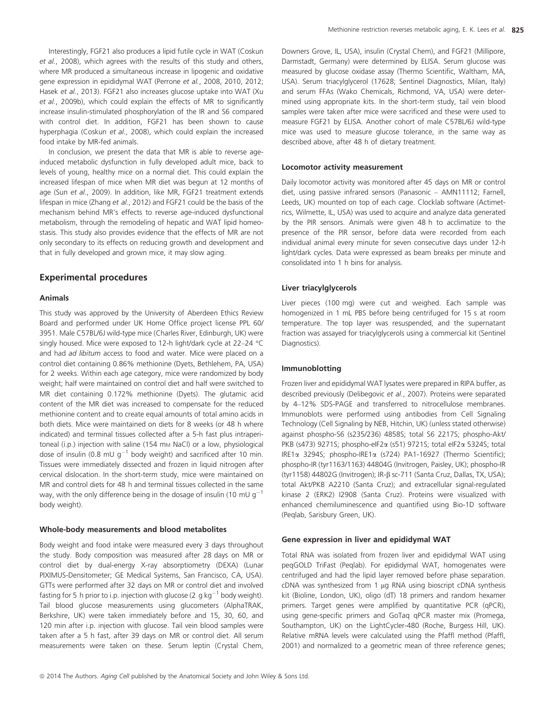Interestingly, FGF21 also produces a lipid futile cycle in WAT (Coskun et al., 2008), which agrees with the results of this study and others, where MR produced a simultaneous increase in lipogenic and oxidative gene expression in epididymal WAT (Perrone et al., 2008, 2010, 2012; Hasek et al., 2013). FGF21 also increases glucose uptake into WAT (Xu et al., 2009b), which could explain the effects of MR to significantly increase insulin-stimulated phosphorylation of the IR and S6 compared with control diet. In addition, FGF21 has been shown to cause hyperphagia (Coskun et al., 2008), which could explain the increased food intake by MR-fed animals.

In conclusion, we present the data that MR is able to reverse ageinduced metabolic dysfunction in fully developed adult mice, back to levels of young, healthy mice on a normal diet. This could explain the increased lifespan of mice when MR diet was begun at 12 months of age (Sun et al., 2009). In addition, like MR, FGF21 treatment extends lifespan in mice (Zhang et al., 2012) and FGF21 could be the basis of the mechanism behind MR's effects to reverse age-induced dysfunctional metabolism, through the remodeling of hepatic and WAT lipid homeostasis. This study also provides evidence that the effects of MR are not only secondary to its effects on reducing growth and development and that in fully developed and grown mice, it may slow aging.

### Experimental procedures

#### Animals

This study was approved by the University of Aberdeen Ethics Review Board and performed under UK Home Office project license PPL 60/ 3951. Male C57BL/6J wild-type mice (Charles River, Edinburgh, UK) were singly housed. Mice were exposed to 12-h light/dark cycle at 22–24 °C and had ad libitum access to food and water. Mice were placed on a control diet containing 0.86% methionine (Dyets, Bethlehem, PA, USA) for 2 weeks. Within each age category, mice were randomized by body weight; half were maintained on control diet and half were switched to MR diet containing 0.172% methionine (Dyets). The glutamic acid content of the MR diet was increased to compensate for the reduced methionine content and to create equal amounts of total amino acids in both diets. Mice were maintained on diets for 8 weeks (or 48 h where indicated) and terminal tissues collected after a 5-h fast plus intraperitoneal (i.p.) injection with saline (154 mm NaCl) or a low, physiological dose of insulin (0.8 mU  $q^{-1}$  body weight) and sacrificed after 10 min. Tissues were immediately dissected and frozen in liquid nitrogen after cervical dislocation. In the short-term study, mice were maintained on MR and control diets for 48 h and terminal tissues collected in the same way, with the only difference being in the dosage of insulin (10 mU  $q^{-1}$ ) body weight).

### Whole-body measurements and blood metabolites

Body weight and food intake were measured every 3 days throughout the study. Body composition was measured after 28 days on MR or control diet by dual-energy X-ray absorptiometry (DEXA) (Lunar PIXIMUS-Densitometer; GE Medical Systems, San Francisco, CA, USA). GTTs were performed after 32 days on MR or control diet and involved fasting for 5 h prior to i.p. injection with glucose (2 g kg<sup>-1</sup> body weight). Tail blood glucose measurements using glucometers (AlphaTRAK, Berkshire, UK) were taken immediately before and 15, 30, 60, and 120 min after i.p. injection with glucose. Tail vein blood samples were taken after a 5 h fast, after 39 days on MR or control diet. All serum measurements were taken on these. Serum leptin (Crystal Chem,

Downers Grove, IL, USA), insulin (Crystal Chem), and FGF21 (Millipore, Darmstadt, Germany) were determined by ELISA. Serum glucose was measured by glucose oxidase assay (Thermo Scientific, Waltham, MA, USA). Serum triacylglycerol (17628; Sentinel Diagnostics, Milan, Italy) and serum FFAs (Wako Chemicals, Richmond, VA, USA) were determined using appropriate kits. In the short-term study, tail vein blood samples were taken after mice were sacrificed and these were used to measure FGF21 by ELISA. Another cohort of male C57BL/6J wild-type mice was used to measure glucose tolerance, in the same way as described above, after 48 h of dietary treatment.

#### Locomotor activity measurement

Daily locomotor activity was monitored after 45 days on MR or control diet, using passive infrared sensors (Panasonic – AMN11112; Farnell, Leeds, UK) mounted on top of each cage. Clocklab software (Actimetrics, Wilmette, IL, USA) was used to acquire and analyze data generated by the PIR sensors. Animals were given 48 h to acclimatize to the presence of the PIR sensor, before data were recorded from each individual animal every minute for seven consecutive days under 12-h light/dark cycles. Data were expressed as beam breaks per minute and consolidated into 1 h bins for analysis.

#### Liver triacylglycerols

Liver pieces (100 mg) were cut and weighed. Each sample was homogenized in 1 mL PBS before being centrifuged for 15 s at room temperature. The top layer was resuspended, and the supernatant fraction was assayed for triacylglycerols using a commercial kit (Sentinel Diagnostics).

#### Immunoblotting

Frozen liver and epididymal WAT lysates were prepared in RIPA buffer, as described previously (Delibegovic et al., 2007). Proteins were separated by 4–12% SDS-PAGE and transferred to nitrocellulose membranes. Immunoblots were performed using antibodies from Cell Signaling Technology (Cell Signaling by NEB, Hitchin, UK) (unless stated otherwise) against phospho-S6 (s235/236) 4858S; total S6 2217S; phospho-Akt/ PKB (s473) 9271S; phospho-eIF2a (s51) 9721S; total eIF2a 5324S; total IRE1a 3294S; phospho-IRE1a (s724) PA1-16927 (Thermo Scientific); phospho-IR (tyr1163/1163) 44804G (Invitrogen, Paisley, UK); phospho-IR (tyr1158) 44802G (Invitrogen); IR-b sc-711 (Santa Cruz, Dallas, TX, USA); total Akt/PKB A2210 (Santa Cruz); and extracellular signal-regulated kinase 2 (ERK2) I2908 (Santa Cruz). Proteins were visualized with enhanced chemiluminescence and quantified using Bio-1D software (Peqlab, Sarisbury Green, UK).

#### Gene expression in liver and epididymal WAT

Total RNA was isolated from frozen liver and epididymal WAT using peqGOLD TriFast (Peqlab). For epididymal WAT, homogenates were centrifuged and had the lipid layer removed before phase separation.  $cDNA$  was synthesized from 1  $\mu$ g RNA using bioscript  $cDNA$  synthesis kit (Bioline, London, UK), oligo (dT) 18 primers and random hexamer primers. Target genes were amplified by quantitative PCR (qPCR), using gene-specific primers and GoTaq qPCR master mix (Promega, Southampton, UK) on the LightCycler-480 (Roche, Burgess Hill, UK). Relative mRNA levels were calculated using the Pfaffl method (Pfaffl, 2001) and normalized to a geometric mean of three reference genes;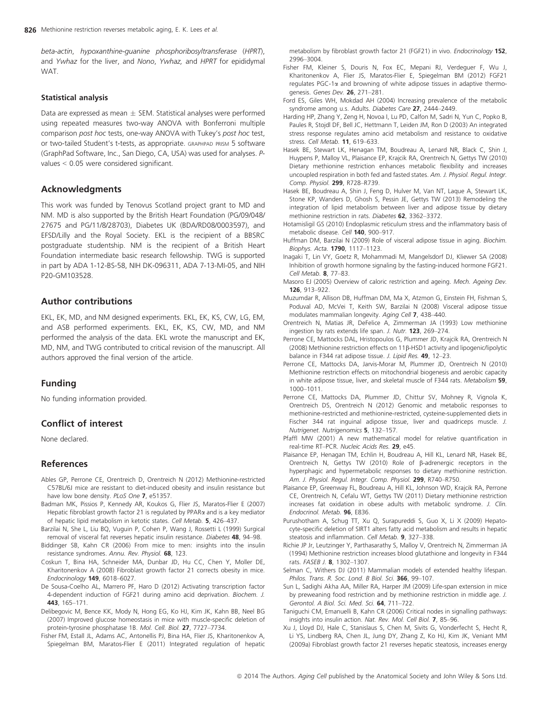beta-actin, hypoxanthine-guanine phosphoribosyltransferase (HPRT), and Ywhaz for the liver, and Nono, Ywhaz, and HPRT for epididymal WAT.

#### Statistical analysis

Data are expressed as mean  $\pm$  SEM. Statistical analyses were performed using repeated measures two-way ANOVA with Bonferroni multiple comparison post hoc tests, one-way ANOVA with Tukey's post hoc test, or two-tailed Student's t-tests, as appropriate. GRAPHPAD PRISM 5 software (GraphPad Software, Inc., San Diego, CA, USA) was used for analyses. Pvalues < 0.05 were considered significant.

# Acknowledgments

This work was funded by Tenovus Scotland project grant to MD and NM. MD is also supported by the British Heart Foundation (PG/09/048/ 27675 and PG/11/8/28703), Diabetes UK (BDA/RD08/0003597), and EFSD/Lilly and the Royal Society. EKL is the recipient of a BBSRC postgraduate studentship. NM is the recipient of a British Heart Foundation intermediate basic research fellowship. TWG is supported in part by ADA 1-12-BS-58, NIH DK-096311, ADA 7-13-MI-05, and NIH P20-GM103528.

# Author contributions

EKL, EK, MD, and NM designed experiments. EKL, EK, KS, CW, LG, EM, and ASB performed experiments. EKL, EK, KS, CW, MD, and NM performed the analysis of the data. EKL wrote the manuscript and EK, MD, NM, and TWG contributed to critical revision of the manuscript. All authors approved the final version of the article.

# Funding

No funding information provided.

# Conflict of interest

None declared.

## References

- Ables GP, Perrone CE, Orentreich D, Orentreich N (2012) Methionine-restricted C57BL/6J mice are resistant to diet-induced obesity and insulin resistance but have low bone density. PLoS One 7, e51357.
- Badman MK, Pissios P, Kennedy AR, Koukos G, Flier JS, Maratos-Flier E (2007) Hepatic fibroblast growth factor 21 is regulated by PPAR<sub>x</sub> and is a key mediator of hepatic lipid metabolism in ketotic states. Cell Metab. 5, 426–437.
- Barzilai N, She L, Liu BQ, Vuguin P, Cohen P, Wang J, Rossetti L (1999) Surgical removal of visceral fat reverses hepatic insulin resistance. Diabetes 48, 94–98.
- Biddinger SB, Kahn CR (2006) From mice to men: insights into the insulin resistance syndromes. Annu. Rev. Physiol. 68, 123.
- Coskun T, Bina HA, Schneider MA, Dunbar JD, Hu CC, Chen Y, Moller DE, Kharitonenkov A (2008) Fibroblast growth factor 21 corrects obesity in mice. Endocrinology 149, 6018–6027.
- De Sousa-Coelho AL, Marrero PF, Haro D (2012) Activating transcription factor 4-dependent induction of FGF21 during amino acid deprivation. Biochem. J. 443, 165–171.
- Delibegovic M, Bence KK, Mody N, Hong EG, Ko HJ, Kim JK, Kahn BB, Neel BG (2007) Improved glucose homeostasis in mice with muscle-specific deletion of protein-tyrosine phosphatase 1B. Mol. Cell. Biol. 27, 7727–7734.
- Fisher FM, Estall JL, Adams AC, Antonellis PJ, Bina HA, Flier JS, Kharitonenkov A, Spiegelman BM, Maratos-Flier E (2011) Integrated regulation of hepatic

metabolism by fibroblast growth factor 21 (FGF21) in vivo. Endocrinology 152, 2996–3004.

- Fisher FM, Kleiner S, Douris N, Fox EC, Mepani RJ, Verdeguer F, Wu J, Kharitonenkov A, Flier JS, Maratos-Flier E, Spiegelman BM (2012) FGF21 regulates PGC-1 $\alpha$  and browning of white adipose tissues in adaptive thermogenesis. Genes Dev. 26, 271–281.
- Ford ES, Giles WH, Mokdad AH (2004) Increasing prevalence of the metabolic syndrome among u.s. Adults. Diabetes Care 27, 2444–2449.
- Harding HP, Zhang Y, Zeng H, Novoa I, Lu PD, Calfon M, Sadri N, Yun C, Popko B, Paules R, Stojdl DF, Bell JC, Hettmann T, Leiden JM, Ron D (2003) An integrated stress response regulates amino acid metabolism and resistance to oxidative stress. Cell Metab. 11, 619–633.
- Hasek BE, Stewart LK, Henagan TM, Boudreau A, Lenard NR, Black C, Shin J, Huypens P, Malloy VL, Plaisance EP, Krajcik RA, Orentreich N, Gettys TW (2010) Dietary methionine restriction enhances metabolic flexibility and increases uncoupled respiration in both fed and fasted states. Am. J. Physiol. Regul. Integr. Comp. Physiol. 299, R728–R739.
- Hasek BE, Boudreau A, Shin J, Feng D, Hulver M, Van NT, Laque A, Stewart LK, Stone KP, Wanders D, Ghosh S, Pessin JE, Gettys TW (2013) Remodeling the integration of lipid metabolism between liver and adipose tissue by dietary methionine restriction in rats. Diabetes 62, 3362–3372.
- Hotamisligil GS (2010) Endoplasmic reticulum stress and the inflammatory basis of metabolic disease. Cell 140, 900-917.
- Huffman DM, Barzilai N (2009) Role of visceral adipose tissue in aging. Biochim. Biophys. Acta. 1790, 1117–1123.
- Inagaki T, Lin VY, Goetz R, Mohammadi M, Mangelsdorf DJ, Kliewer SA (2008) Inhibition of growth hormone signaling by the fasting-induced hormone FGF21. Cell Metab. 8, 77–83.
- Masoro EJ (2005) Overview of caloric restriction and ageing. Mech. Ageing Dev. 126, 913–922.
- Muzumdar R, Allison DB, Huffman DM, Ma X, Atzmon G, Einstein FH, Fishman S, Poduval AD, McVei T, Keith SW, Barzilai N (2008) Visceral adipose tissue modulates mammalian longevity. Aging Cell 7, 438–440.
- Orentreich N, Matias JR, DeFelice A, Zimmerman JA (1993) Low methionine ingestion by rats extends life span. J. Nutr. 123, 269–274.
- Perrone CE, Mattocks DAL, Hristopoulos G, Plummer JD, Krajcik RA, Orentreich N (2008) Methionine restriction effects on 11b-HSD1 activity and lipogenic/lipolytic balance in F344 rat adipose tissue. J. Lipid Res. 49, 12-23.
- Perrone CE, Mattocks DA, Jarvis-Morar M, Plummer JD, Orentreich N (2010) Methionine restriction effects on mitochondrial biogenesis and aerobic capacity in white adipose tissue, liver, and skeletal muscle of F344 rats. Metabolism 59, 1000–1011.
- Perrone CE, Mattocks DA, Plummer JD, Chittur SV, Mohney R, Vignola K, Orentreich DS, Orentreich N (2012) Genomic and metabolic responses to methionine-restricted and methionine-restricted, cysteine-supplemented diets in Fischer 344 rat inguinal adipose tissue, liver and quadriceps muscle. J. Nutrigenet. Nutrigenomics 5, 132–157.
- Pfaffl MW (2001) A new mathematical model for relative quantification in real-time RT–PCR. Nucleic Acids Res. 29, e45.
- Plaisance EP, Henagan TM, Echlin H, Boudreau A, Hill KL, Lenard NR, Hasek BE, Orentreich N, Gettys TW (2010) Role of b-adrenergic receptors in the hyperphagic and hypermetabolic responses to dietary methionine restriction. Am. J. Physiol. Regul. Integr. Comp. Physiol. 299, R740–R750.
- Plaisance EP, Greenway FL, Boudreau A, Hill KL, Johnson WD, Krajcik RA, Perrone CE, Orentreich N, Cefalu WT, Gettys TW (2011) Dietary methionine restriction increases fat oxidation in obese adults with metabolic syndrome. J. Clin. Endocrinol. Metab. 96, E836.
- Purushotham A, Schug TT, Xu Q, Surapureddi S, Guo X, Li X (2009) Hepatocyte-specific deletion of SIRT1 alters fatty acid metabolism and results in hepatic steatosis and inflammation. Cell Metab. 9, 327–338.
- Richie JP Jr, Leutzinger Y, Parthasarathy S, Malloy V, Orentreich N, Zimmerman JA (1994) Methionine restriction increases blood glutathione and longevity in F344 rats. FASEB | 8, 1302-1307.
- Selman C, Withers DJ (2011) Mammalian models of extended healthy lifespan. Philos. Trans. R. Soc. Lond. B Biol. Sci. 366, 99-107.
- Sun L, Sadighi Akha AA, Miller RA, Harper JM (2009) Life-span extension in mice by preweaning food restriction and by methionine restriction in middle age. J. Gerontol. A Biol. Sci. Med. Sci. 64, 711–722.
- Taniguchi CM, Emanuelli B, Kahn CR (2006) Critical nodes in signalling pathways: insights into insulin action. Nat. Rev. Mol. Cell Biol. 7, 85–96.
- Xu J, Lloyd DJ, Hale C, Stanislaus S, Chen M, Sivits G, Vonderfecht S, Hecht R, Li YS, Lindberg RA, Chen JL, Jung DY, Zhang Z, Ko HJ, Kim JK, Veniant MM (2009a) Fibroblast growth factor 21 reverses hepatic steatosis, increases energy